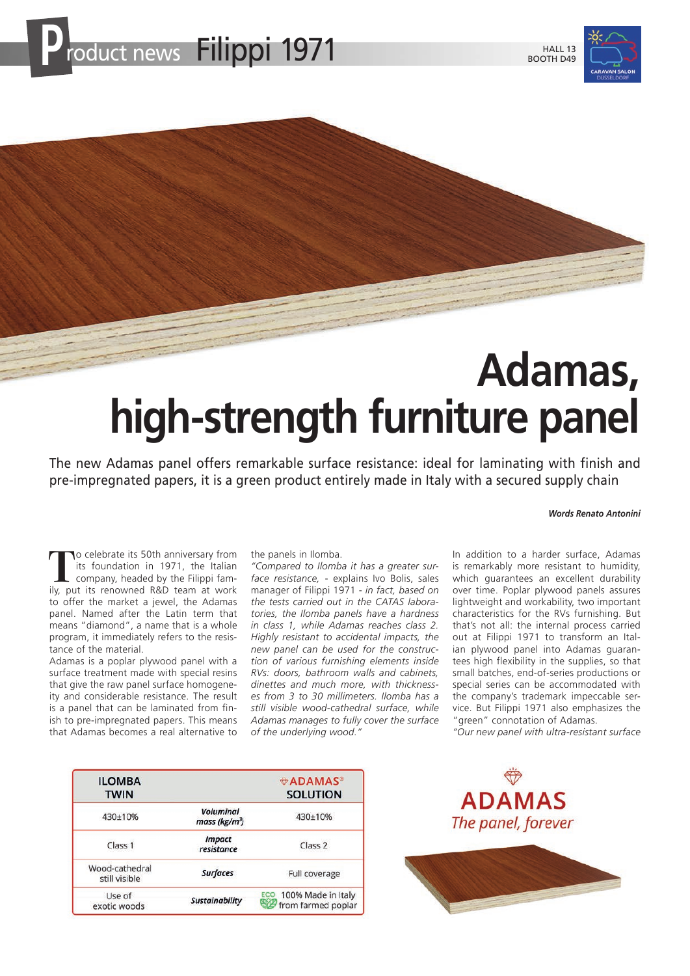



# **Adamas, high-strength furniture panel**

The new Adamas panel offers remarkable surface resistance: ideal for laminating with finish and pre-impregnated papers, it is a green product entirely made in Italy with a secured supply chain

#### *Words Renato Antonini*

To celebrate its 50th anniversary from<br>
its foundation in 1971, the Italian<br>
company, headed by the Filippi fam-<br>
ily put its repowed R&D team at work its foundation in 1971, the Italian ily, put its renowned R&D team at work to offer the market a jewel, the Adamas panel. Named after the Latin term that means "diamond", a name that is a whole program, it immediately refers to the resistance of the material.

Adamas is a poplar plywood panel with a surface treatment made with special resins that give the raw panel surface homogeneity and considerable resistance. The result is a panel that can be laminated from finish to pre-impregnated papers. This means that Adamas becomes a real alternative to

the panels in Ilomba.

*"Compared to Ilomba it has a greater surface resistance,* - explains Ivo Bolis, sales manager of Filippi 1971 - *in fact, based on the tests carried out in the CATAS laboratories, the Ilomba panels have a hardness in class 1, while Adamas reaches class 2. Highly resistant to accidental impacts, the new panel can be used for the construction of various furnishing elements inside RVs: doors, bathroom walls and cabinets, dinettes and much more, with thicknesses from 3 to 30 millimeters. Ilomba has a still visible wood-cathedral surface, while Adamas manages to fully cover the surface of the underlying wood."*

In addition to a harder surface, Adamas is remarkably more resistant to humidity, which guarantees an excellent durability over time. Poplar plywood panels assures lightweight and workability, two important characteristics for the RVs furnishing. But that's not all: the internal process carried out at Filippi 1971 to transform an Italian plywood panel into Adamas guarantees high flexibility in the supplies, so that small batches, end-of-series productions or special series can be accommodated with the company's trademark impeccable service. But Filippi 1971 also emphasizes the "green" connotation of Adamas. *"Our new panel with ultra-resistant surface* 

| <b>ILOMBA</b><br><b>TWIN</b>    |                                               | <b><i>ADAMAS</i></b><br><b>SOLUTION</b>      |
|---------------------------------|-----------------------------------------------|----------------------------------------------|
| 430±10%                         | <b>Voluminal</b><br>mass (kg/m <sup>3</sup> ) | 430±10%                                      |
| Class 1                         | <b>Impact</b><br>resistance                   | Class <sub>2</sub>                           |
| Wood-cathedral<br>still visible | <b>Surfaces</b>                               | Full coverage                                |
| Use of<br>exotic woods          | <b>Sustainability</b>                         | ECO 100% Made in Italy<br>from farmed poplar |